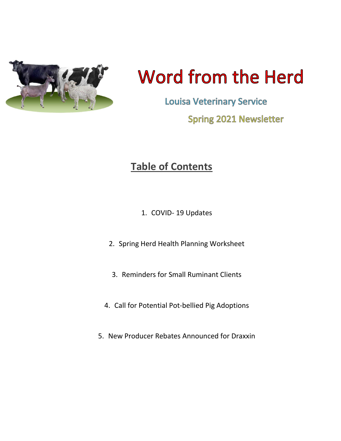

# **Word from the Herd**

**Louisa Veterinary Service Spring 2021 Newsletter** 

## **Table of Contents**

- 1. COVID- 19 Updates
- 2. Spring Herd Health Planning Worksheet
- 3. Reminders for Small Ruminant Clients
- 4. Call for Potential Pot-bellied Pig Adoptions
- 5. New Producer Rebates Announced for Draxxin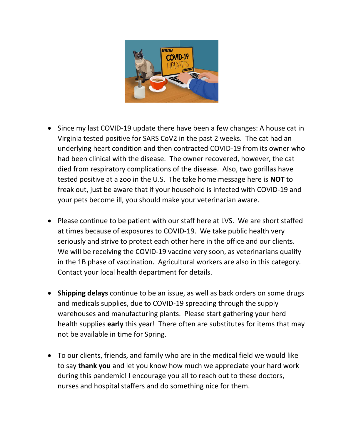

- Since my last COVID-19 update there have been a few changes: A house cat in Virginia tested positive for SARS CoV2 in the past 2 weeks. The cat had an underlying heart condition and then contracted COVID-19 from its owner who had been clinical with the disease. The owner recovered, however, the cat died from respiratory complications of the disease. Also, two gorillas have tested positive at a zoo in the U.S. The take home message here is **NOT** to freak out, just be aware that if your household is infected with COVID-19 and your pets become ill, you should make your veterinarian aware.
- Please continue to be patient with our staff here at LVS. We are short staffed at times because of exposures to COVID-19. We take public health very seriously and strive to protect each other here in the office and our clients. We will be receiving the COVID-19 vaccine very soon, as veterinarians qualify in the 1B phase of vaccination. Agricultural workers are also in this category. Contact your local health department for details.
- **Shipping delays** continue to be an issue, as well as back orders on some drugs and medicals supplies, due to COVID-19 spreading through the supply warehouses and manufacturing plants. Please start gathering your herd health supplies **early** this year! There often are substitutes for items that may not be available in time for Spring.
- To our clients, friends, and family who are in the medical field we would like to say **thank you** and let you know how much we appreciate your hard work during this pandemic! I encourage you all to reach out to these doctors, nurses and hospital staffers and do something nice for them.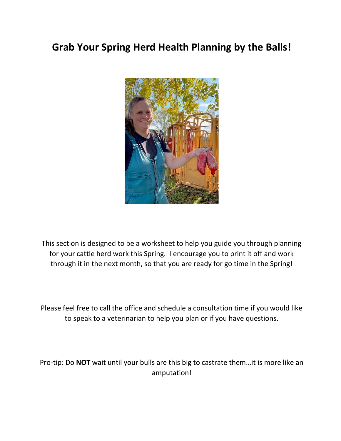## **Grab Your Spring Herd Health Planning by the Balls!**



This section is designed to be a worksheet to help you guide you through planning for your cattle herd work this Spring. I encourage you to print it off and work through it in the next month, so that you are ready for go time in the Spring!

Please feel free to call the office and schedule a consultation time if you would like to speak to a veterinarian to help you plan or if you have questions.

Pro-tip: Do **NOT** wait until your bulls are this big to castrate them…it is more like an amputation!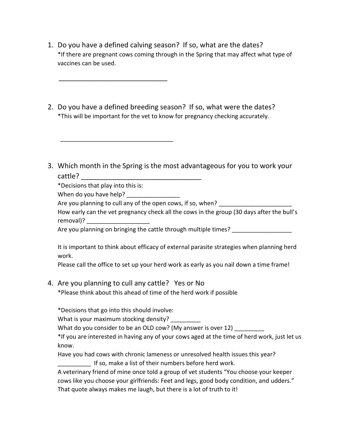- 1. Do you have a defined calving season? If so, what are the dates? \*If there are pregnant cows coming through in the Spring that may affect what type of vaccines can be used.
- 2. Do you have a defined breeding season? If so, what were the dates? \*This will be important for the vet to know for pregnancy checking accurately.
- 3. Which month in the Spring is the most advantageous for you to work your cattle?

\*Decisions that play into this is:

\_\_\_\_\_\_\_\_\_\_\_\_\_\_\_\_\_\_\_\_\_\_\_\_\_\_\_\_\_\_\_\_\_\_

\_\_\_\_\_\_\_\_\_\_\_\_\_\_\_\_\_\_\_\_\_\_\_\_\_\_\_\_

When do you have help?

Are you planning to cull any of the open cows, if so, when?

How early can the vet pregnancy check all the cows in the group (30 days after the bull's removal)?

Are you planning on bringing the cattle through multiple times? \_\_\_\_\_\_\_\_\_\_\_\_\_\_\_\_

It is important to think about efficacy of external parasite strategies when planning herd work.

Please call the office to set up your herd work as early as you nail down a time frame!

4. Are you planning to cull any cattle? Yes or No

\*Please think about this ahead of time of the herd work if possible

\*Decisions that go into this should involve:

What is your maximum stocking density?

What do you consider to be an OLD cow? (My answer is over 12)

\*If you are interested in having any of your cows aged at the time of herd work, just let us know.

Have you had cows with chronic lameness or unresolved health issues this year? If so, make a list of their numbers before herd work.

A veterinary friend of mine once told a group of vet students "You choose your keeper cows like you choose your girlfriends: Feet and legs, good body condition, and udders." That quote always makes me laugh, but there is a lot of truth to it!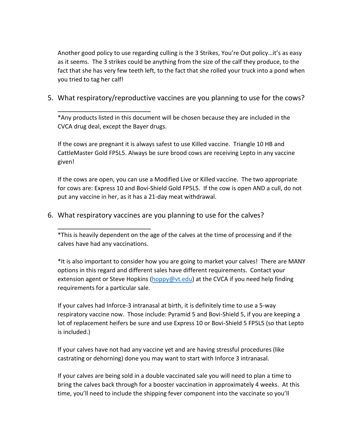Another good policy to use regarding culling is the 3 Strikes, You're Out policy…it's as easy as it seems. The 3 strikes could be anything from the size of the calf they produce, to the fact that she has very few teeth left, to the fact that she rolled your truck into a pond when you tried to tag her calf!

#### 5. What respiratory/reproductive vaccines are you planning to use for the cows?

\*Any products listed in this document will be chosen because they are included in the CVCA drug deal, except the Bayer drugs.

\_\_\_\_\_\_\_\_\_\_\_\_\_\_\_\_\_\_\_\_\_\_\_\_

\_\_\_\_\_\_\_\_\_\_\_\_\_\_\_\_\_\_\_\_\_\_\_\_

If the cows are pregnant it is always safest to use Killed vaccine. Triangle 10 HB and CattleMaster Gold FP5L5. Always be sure brood cows are receiving Lepto in any vaccine given!

If the cows are open, you can use a Modified Live or Killed vaccine. The two appropriate for cows are: Express 10 and Bovi-Shield Gold FP5L5. If the cow is open AND a cull, do not put any vaccine in her, as it has a 21-day meat withdrawal.

#### 6. What respiratory vaccines are you planning to use for the calves?

\*This is heavily dependent on the age of the calves at the time of processing and if the calves have had any vaccinations.

\*It is also important to consider how you are going to market your calves! There are MANY options in this regard and different sales have different requirements. Contact your extension agent or Steve Hopkins [\(hoppy@vt.edu\)](mailto:hoppy@vt.edu) at the CVCA if you need help finding requirements for a particular sale.

If your calves had Inforce-3 intranasal at birth, it is definitely time to use a 5-way respiratory vaccine now. Those include: Pyramid 5 and Bovi-Shield 5, if you are keeping a lot of replacement heifers be sure and use Express 10 or Bovi-Shield 5 FP5L5 (so that Lepto is included.)

If your calves have not had any vaccine yet and are having stressful procedures (like castrating or dehorning) done you may want to start with Inforce 3 intranasal.

If your calves are being sold in a double vaccinated sale you will need to plan a time to bring the calves back through for a booster vaccination in approximately 4 weeks. At this time, you'll need to include the shipping fever component into the vaccinate so you'll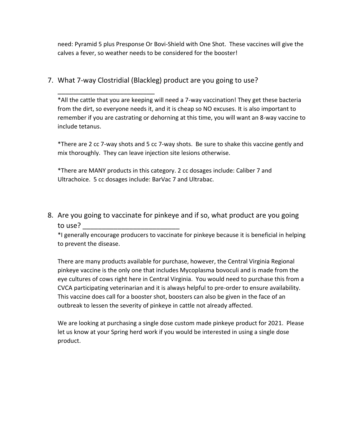need: Pyramid 5 plus Presponse Or Bovi-Shield with One Shot. These vaccines will give the calves a fever, so weather needs to be considered for the booster!

#### 7. What 7-way Clostridial (Blackleg) product are you going to use?

\_\_\_\_\_\_\_\_\_\_\_\_\_\_\_\_\_\_\_\_\_\_\_\_\_

\*All the cattle that you are keeping will need a 7-way vaccination! They get these bacteria from the dirt, so everyone needs it, and it is cheap so NO excuses. It is also important to remember if you are castrating or dehorning at this time, you will want an 8-way vaccine to include tetanus.

\*There are 2 cc 7-way shots and 5 cc 7-way shots. Be sure to shake this vaccine gently and mix thoroughly. They can leave injection site lesions otherwise.

\*There are MANY products in this category. 2 cc dosages include: Caliber 7 and Ultrachoice. 5 cc dosages include: BarVac 7 and Ultrabac.

8. Are you going to vaccinate for pinkeye and if so, what product are you going to use?

\*I generally encourage producers to vaccinate for pinkeye because it is beneficial in helping to prevent the disease.

There are many products available for purchase, however, the Central Virginia Regional pinkeye vaccine is the only one that includes Mycoplasma bovoculi and is made from the eye cultures of cows right here in Central Virginia. You would need to purchase this from a CVCA participating veterinarian and it is always helpful to pre-order to ensure availability. This vaccine does call for a booster shot, boosters can also be given in the face of an outbreak to lessen the severity of pinkeye in cattle not already affected.

We are looking at purchasing a single dose custom made pinkeye product for 2021. Please let us know at your Spring herd work if you would be interested in using a single dose product.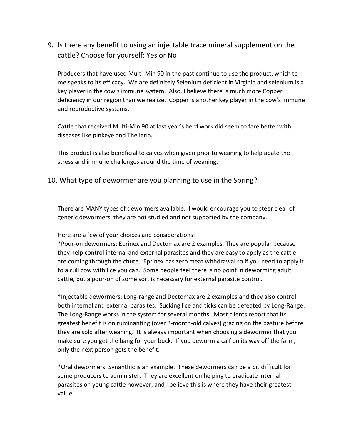9. Is there any benefit to using an injectable trace mineral supplement on the cattle? Choose for yourself: Yes or No

Producers that have used Multi-Min 90 in the past continue to use the product, which to me speaks to its efficacy. We are definitely Selenium deficient in Virginia and selenium is a key player in the cow's immune system. Also, I believe there is much more Copper deficiency in our region than we realize. Copper is another key player in the cow's immune and reproductive systems.

Cattle that received Multi-Min 90 at last year's herd work did seem to fare better with diseases like pinkeye and Theileria.

This product is also beneficial to calves when given prior to weaning to help abate the stress and immune challenges around the time of weaning.

10. What type of dewormer are you planning to use in the Spring?

There are MANY types of dewormers available. I would encourage you to steer clear of generic dewormers, they are not studied and not supported by the company.

Here are a few of your choices and considerations:

\_\_\_\_\_\_\_\_\_\_\_\_\_\_\_\_\_\_\_\_\_\_\_\_\_\_\_\_\_\_\_\_\_\_\_

\*Pour-on dewormers: Eprinex and Dectomax are 2 examples. They are popular because they help control internal and external parasites and they are easy to apply as the cattle are coming through the chute. Eprinex has zero meat withdrawal so if you need to apply it to a cull cow with lice you can. Some people feel there is no point in deworming adult cattle, but a pour-on of some sort is necessary for external parasite control.

\*Injectable dewormers: Long-range and Dectomax are 2 examples and they also control both internal and external parasites. Sucking lice and ticks can be defeated by Long-Range. The Long-Range works in the system for several months. Most clients report that its greatest benefit is on ruminanting (over 3-month-old calves) grazing on the pasture before they are sold after weaning. It is always important when choosing a dewormer that you make sure you get the bang for your buck. If you deworm a calf on its way off the farm, only the next person gets the benefit.

\*Oral dewormers: Synanthic is an example. These dewormers can be a bit difficult for some producers to administer. They are excellent on helping to eradicate internal parasites on young cattle however, and I believe this is where they have their greatest value.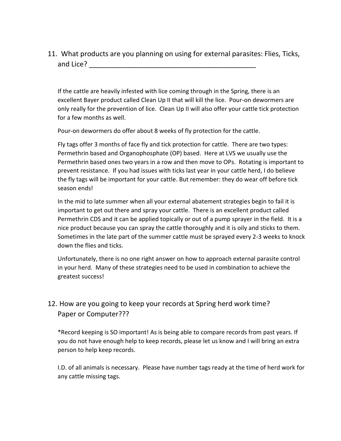11. What products are you planning on using for external parasites: Flies, Ticks, and Lice? **Example 20** 

If the cattle are heavily infested with lice coming through in the Spring, there is an excellent Bayer product called Clean Up II that will kill the lice. Pour-on dewormers are only really for the prevention of lice. Clean Up II will also offer your cattle tick protection for a few months as well.

Pour-on dewormers do offer about 8 weeks of fly protection for the cattle.

Fly tags offer 3 months of face fly and tick protection for cattle. There are two types: Permethrin based and Organophosphate (OP) based. Here at LVS we usually use the Permethrin based ones two years in a row and then move to OPs. Rotating is important to prevent resistance. If you had issues with ticks last year in your cattle herd, I do believe the fly tags will be important for your cattle. But remember: they do wear off before tick season ends!

In the mid to late summer when all your external abatement strategies begin to fail it is important to get out there and spray your cattle. There is an excellent product called Permethrin CDS and it can be applied topically or out of a pump sprayer in the field. It is a nice product because you can spray the cattle thoroughly and it is oily and sticks to them. Sometimes in the late part of the summer cattle must be sprayed every 2-3 weeks to knock down the flies and ticks.

Unfortunately, there is no one right answer on how to approach external parasite control in your herd. Many of these strategies need to be used in combination to achieve the greatest success!

#### 12. How are you going to keep your records at Spring herd work time? Paper or Computer???

\*Record keeping is SO important! As is being able to compare records from past years. If you do not have enough help to keep records, please let us know and I will bring an extra person to help keep records.

I.D. of all animals is necessary. Please have number tags ready at the time of herd work for any cattle missing tags.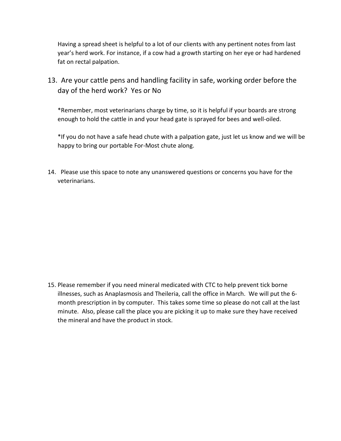Having a spread sheet is helpful to a lot of our clients with any pertinent notes from last year's herd work. For instance, if a cow had a growth starting on her eye or had hardened fat on rectal palpation.

13. Are your cattle pens and handling facility in safe, working order before the day of the herd work? Yes or No

\*Remember, most veterinarians charge by time, so it is helpful if your boards are strong enough to hold the cattle in and your head gate is sprayed for bees and well-oiled.

\*If you do not have a safe head chute with a palpation gate, just let us know and we will be happy to bring our portable For-Most chute along.

14. Please use this space to note any unanswered questions or concerns you have for the veterinarians.

15. Please remember if you need mineral medicated with CTC to help prevent tick borne illnesses, such as Anaplasmosis and Theileria, call the office in March. We will put the 6 month prescription in by computer. This takes some time so please do not call at the last minute. Also, please call the place you are picking it up to make sure they have received the mineral and have the product in stock.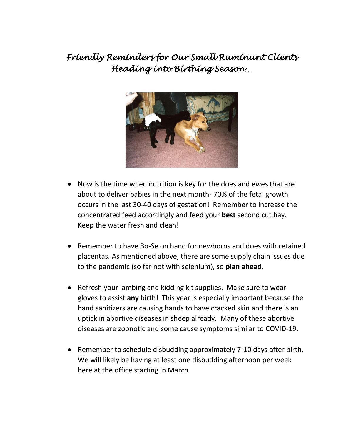## *Friendly Reminders for Our Small Ruminant Clients Heading into Birthing Season…*



- Now is the time when nutrition is key for the does and ewes that are about to deliver babies in the next month- 70% of the fetal growth occurs in the last 30-40 days of gestation! Remember to increase the concentrated feed accordingly and feed your **best** second cut hay. Keep the water fresh and clean!
- Remember to have Bo-Se on hand for newborns and does with retained placentas. As mentioned above, there are some supply chain issues due to the pandemic (so far not with selenium), so **plan ahead**.
- Refresh your lambing and kidding kit supplies. Make sure to wear gloves to assist **any** birth! This year is especially important because the hand sanitizers are causing hands to have cracked skin and there is an uptick in abortive diseases in sheep already. Many of these abortive diseases are zoonotic and some cause symptoms similar to COVID-19.
- Remember to schedule disbudding approximately 7-10 days after birth. We will likely be having at least one disbudding afternoon per week here at the office starting in March.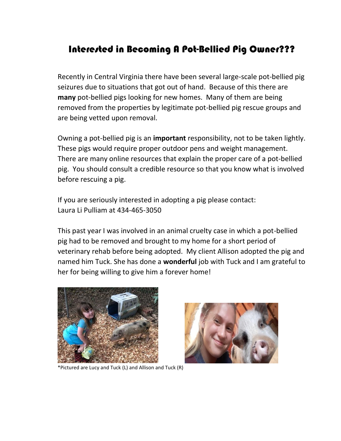### Interested in Becoming A Pot-Bellied Pig Owner???

Recently in Central Virginia there have been several large-scale pot-bellied pig seizures due to situations that got out of hand. Because of this there are **many** pot-bellied pigs looking for new homes. Many of them are being removed from the properties by legitimate pot-bellied pig rescue groups and are being vetted upon removal.

Owning a pot-bellied pig is an **important** responsibility, not to be taken lightly. These pigs would require proper outdoor pens and weight management. There are many online resources that explain the proper care of a pot-bellied pig. You should consult a credible resource so that you know what is involved before rescuing a pig.

If you are seriously interested in adopting a pig please contact: Laura Li Pulliam at 434-465-3050

This past year I was involved in an animal cruelty case in which a pot-bellied pig had to be removed and brought to my home for a short period of veterinary rehab before being adopted. My client Allison adopted the pig and named him Tuck. She has done a **wonderful** job with Tuck and I am grateful to her for being willing to give him a forever home!



\*Pictured are Lucy and Tuck (L) and Allison and Tuck (R)